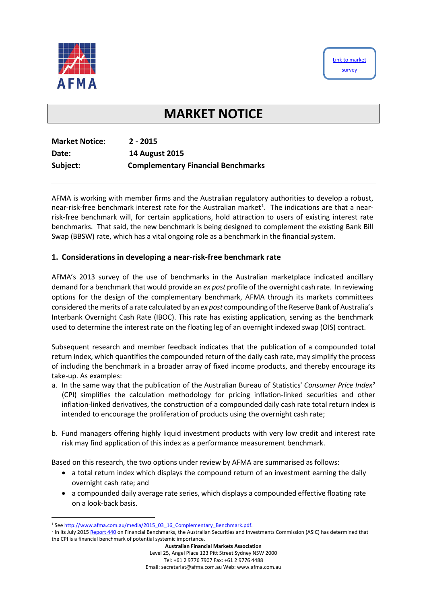



# **MARKET NOTICE**

| <b>Market Notice:</b> | $2 - 2015$                                |
|-----------------------|-------------------------------------------|
| Date:                 | <b>14 August 2015</b>                     |
| Subject:              | <b>Complementary Financial Benchmarks</b> |

AFMA is working with member firms and the Australian regulatory authorities to develop a robust, near-risk-free benchmark interest rate for the Australian market<sup>[1](#page-0-0)</sup>. The indications are that a nearrisk-free benchmark will, for certain applications, hold attraction to users of existing interest rate benchmarks. That said, the new benchmark is being designed to complement the existing Bank Bill Swap (BBSW) rate, which has a vital ongoing role as a benchmark in the financial system.

### **1. Considerations in developing a near-risk-free benchmark rate**

AFMA's 2013 survey of the use of benchmarks in the Australian marketplace indicated ancillary demand for a benchmark that would provide an *ex post* profile of the overnight cash rate. In reviewing options for the design of the complementary benchmark, AFMA through its markets committees considered the merits of a rate calculated by an *ex post* compounding of the Reserve Bank of Australia's Interbank Overnight Cash Rate (IBOC). This rate has existing application, serving as the benchmark used to determine the interest rate on the floating leg of an overnight indexed swap (OIS) contract.

Subsequent research and member feedback indicates that the publication of a compounded total return index, which quantifies the compounded return of the daily cash rate, may simplify the process of including the benchmark in a broader array of fixed income products, and thereby encourage its take-up. As examples:

- a. In the same way that the publication of the Australian Bureau of Statistics' *Consumer Price Index*[2](#page-0-1) (CPI) simplifies the calculation methodology for pricing inflation-linked securities and other inflation-linked derivatives, the construction of a compounded daily cash rate total return index is intended to encourage the proliferation of products using the overnight cash rate;
- b. Fund managers offering highly liquid investment products with very low credit and interest rate risk may find application of this index as a performance measurement benchmark.

Based on this research, the two options under review by AFMA are summarised as follows:

- a total return index which displays the compound return of an investment earning the daily overnight cash rate; and
- a compounded daily average rate series, which displays a compounded effective floating rate on a look-back basis.

<span id="page-0-0"></span><sup>&</sup>lt;sup>1</sup> Se[e http://www.afma.com.au/media/2015\\_03\\_16\\_Complementary\\_Benchmark.pdf.](http://www.afma.com.au/media/2015_03_16_Complementary_Benchmark.pdf)

<span id="page-0-1"></span><sup>&</sup>lt;sup>2</sup> In its July 201[5 Report 440](http://download.asic.gov.au/media/3285136/rep440-published-8-july-2015.pdf) on Financial Benchmarks, the Australian Securities and Investments Commission (ASIC) has determined that the CPI is a financial benchmark of potential systemic importance.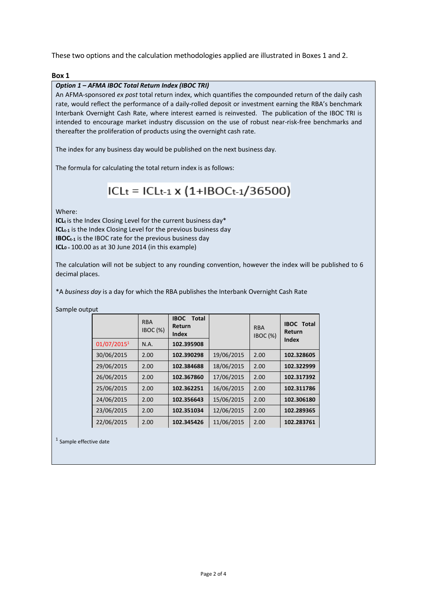These two options and the calculation methodologies applied are illustrated in Boxes 1 and 2.

### **Box 1**

### *Option 1 – AFMA IBOC Total Return Index (IBOC TRI)*

An AFMA-sponsored *ex post* total return index, which quantifies the compounded return of the daily cash rate, would reflect the performance of a daily-rolled deposit or investment earning the RBA's benchmark Interbank Overnight Cash Rate, where interest earned is reinvested. The publication of the IBOC TRI is intended to encourage market industry discussion on the use of robust near-risk-free benchmarks and thereafter the proliferation of products using the overnight cash rate.

The index for any business day would be published on the next business day.

The formula for calculating the total return index is as follows:

## ICLt = ICLt-1 x (1+IBOCt-1/36500)

Where:

Samp

ICL<sub>t</sub> is the Index Closing Level for the current business day\* **ICL**<sub>t-1</sub> is the Index Closing Level for the previous business day **IBOC**<sub>t-1</sub> is the IBOC rate for the previous business day **ICL<sub>0</sub>** = 100.00 as at 30 June 2014 (in this example)

The calculation will not be subject to any rounding convention, however the index will be published to 6 decimal places.

\*A *business day* is a day for which the RBA publishes the Interbank Overnight Cash Rate

| le output |             |                       |                                                |            |                               |                             |
|-----------|-------------|-----------------------|------------------------------------------------|------------|-------------------------------|-----------------------------|
|           |             | <b>RBA</b><br>IBOC(%) | <b>IBOC</b><br><b>Total</b><br>Return<br>Index |            | <b>RBA</b><br><b>IBOC</b> (%) | <b>IBOC Total</b><br>Return |
|           | 01/07/20151 | N.A.                  | 102.395908                                     |            |                               | Index                       |
|           | 30/06/2015  | 2.00                  | 102.390298                                     | 19/06/2015 | 2.00                          | 102.328605                  |
|           | 29/06/2015  | 2.00                  | 102.384688                                     | 18/06/2015 | 2.00                          | 102.322999                  |
|           | 26/06/2015  | 2.00                  | 102.367860                                     | 17/06/2015 | 2.00                          | 102.317392                  |
|           | 25/06/2015  | 2.00                  | 102.362251                                     | 16/06/2015 | 2.00                          | 102.311786                  |
|           | 24/06/2015  | 2.00                  | 102.356643                                     | 15/06/2015 | 2.00                          | 102.306180                  |
|           | 23/06/2015  | 2.00                  | 102.351034                                     | 12/06/2015 | 2.00                          | 102.289365                  |
|           | 22/06/2015  | 2.00                  | 102.345426                                     | 11/06/2015 | 2.00                          | 102.283761                  |

<sup>1</sup> Sample effective date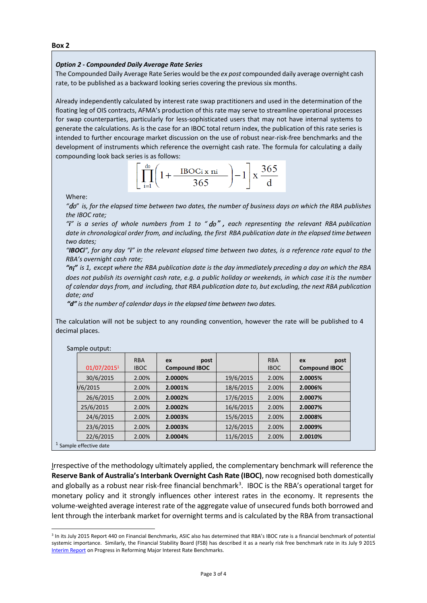### *Option 2 - Compounded Daily Average Rate Series*

The Compounded Daily Average Rate Series would be the *ex post* compounded daily average overnight cash rate, to be published as a backward looking series covering the previous six months.

Already independently calculated by interest rate swap practitioners and used in the determination of the floating leg of OIS contracts, AFMA's production of this rate may serve to streamline operational processes for swap counterparties, particularly for less-sophisticated users that may not have internal systems to generate the calculations. As is the case for an IBOC total return index, the publication of this rate series is intended to further encourage market discussion on the use of robust near-risk-free benchmarks and the development of instruments which reference the overnight cash rate. The formula for calculating a daily compounding look back series is as follows:



Where:

*"*do*" is, for the elapsed time between two dates, the number of business days on which the RBA publishes the IBOC rate;*

"i" is a series of whole numbers from 1 to " $do$ ", each representing the relevant RBA publication *date in chronological order from, and including, the first RBA publication date in the elapsed time between two dates;*

*"IBOCi", for any day "i" in the relevant elapsed time between two dates, is a reference rate equal to the RBA's overnight cash rate;*

*"ni" is 1, except where the RBA publication date is the day immediately preceding a day on which the RBA does not publish its overnight cash rate, e.g. a public holiday or weekends, in which case itis the number of calendar days from, and including, that RBA publication date to, but excluding, the next RBA publication date; and*

*"d" is the number of calendar daysin the elapsed time between two dates.* 

The calculation will not be subject to any rounding convention, however the rate will be published to 4 decimal places.

| 01/07/20151 | <b>RBA</b><br><b>IBOC</b> | post<br>ex<br><b>Compound IBOC</b> |           | <b>RBA</b><br><b>IBOC</b> | post<br>ex<br><b>Compound IBOC</b> |
|-------------|---------------------------|------------------------------------|-----------|---------------------------|------------------------------------|
| 30/6/2015   | 2.00%                     | 2.0000%                            | 19/6/2015 | 2.00%                     | 2.0005%                            |
| 1/6/2015    | 2.00%                     | 2.0001%                            | 18/6/2015 | 2.00%                     | 2.0006%                            |
| 26/6/2015   | 2.00%                     | 2.0002%                            | 17/6/2015 | 2.00%                     | 2.0007%                            |
| 25/6/2015   | 2.00%                     | 2.0002%                            | 16/6/2015 | 2.00%                     | 2.0007%                            |
| 24/6/2015   | 2.00%                     | 2.0003%                            | 15/6/2015 | 2.00%                     | 2.0008%                            |
| 23/6/2015   | 2.00%                     | 2.0003%                            | 12/6/2015 | 2.00%                     | 2.0009%                            |
| 22/6/2015   | 2.00%                     | 2.0004%                            | 11/6/2015 | 2.00%                     | 2.0010%                            |

Sample output:

 $1$  Sar

Irrespective of the methodology ultimately applied, the complementary benchmark will reference the **Reserve Bank of Australia's Interbank Overnight Cash Rate (IBOC)**, now recognised both domestically and globally as a robust near risk-free financial benchmark<sup>[3](#page-2-0)</sup>. IBOC is the RBA's operational target for monetary policy and it strongly influences other interest rates in the economy. It represents the volume-weighted average interest rate of the aggregate value of unsecured funds both borrowed and lent through the interbank market for overnight terms and is calculated by the RBA from transactional

<span id="page-2-0"></span><sup>&</sup>lt;sup>3</sup> In its July 2015 Report 440 on Financial Benchmarks, ASIC also has determined that RBA's IBOC rate is a financial benchmark of potential systemic importance. Similarly, the Financial Stability Board (FSB) has described it as a nearly risk free benchmark rate in its July 9 201[5](http://www.financialstabilityboard.org/wp-content/uploads/OSSG-interest-rate-benchmarks-progress-report-July-2015.pdf)  [Interim Report](http://www.financialstabilityboard.org/wp-content/uploads/OSSG-interest-rate-benchmarks-progress-report-July-2015.pdf) on Progress in Reforming Major Interest Rate Benchmarks.